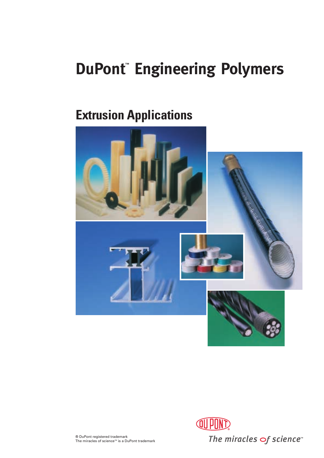# **DuPont™ Engineering Polymers**

# **Extrusion Applications**



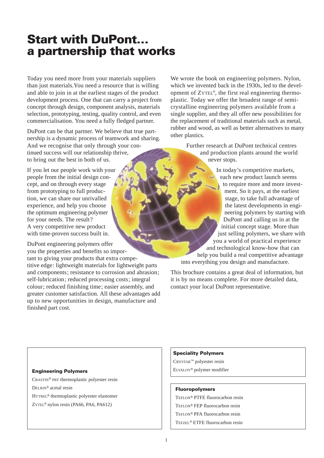# **Start with DuPont… a partnership that works**

Today you need more from your materials suppliers than just materials.You need a resource that is willing and able to join in at the earliest stages of the product development process. One that can carry a project from concept through design, component analysis, materials selection, prototyping, testing, quality control, and even commercialisation. You need a fully fledged partner.

DuPont can be that partner. We believe that true partnership is a dynamic process of teamwork and sharing. And we recognise that only through your continued success will our relationship thrive, to bring out the best in both of us.

If you let our people work with your people from the initial design concept, and on through every stage from prototyping to full production, we can share our unrivalled experience, and help you choose the optimum engineering polymer for your needs. The result? A very competitive new product with time-proven success built in.

DuPont engineering polymers offer you the properties and benefits so important to giving your products that extra competitive edge: lightweight materials for lightweight parts and components; resistance to corrosion and abrasion; self-lubrication; reduced processing costs; integral colour; reduced finishing time; easier assembly, and greater customer satisfaction. All these advantages add up to new opportunities in design, manufacture and finished part cost.

We wrote the book on engineering polymers. Nylon, which we invented back in the 1930s, led to the development of ZYTEL®, the first real engineering thermoplastic. Today we offer the broadest range of semicrystalline engineering polymers available from a single supplier, and they all offer new possibilities for the replacement of traditional materials such as metal, rubber and wood, as well as better alternatives to many other plastics.

> Further research at DuPont technical centres and production plants around the world never stops.

In today's competitive markets, each new product launch seems to require more and more investment. So it pays, at the earliest stage, to take full advantage of the latest developments in engineering polymers by starting with DuPont and calling us in at the initial concept stage. More than just selling polymers, we share with you a world of practical experience and technological know-how that can help you build a real competitive advantage into everything you design and manufacture.

This brochure contains a great deal of information, but it is by no means complete. For more detailed data, contact your local DuPont representative.

CRASTIN® PBT thermoplastic polyester resin DELRIN® acetal resin HYTREL® thermoplastic polyester elastomer ZYTEL® nylon resin (PA66, PA6, PA612)

#### **Speciality Polymers**

CRYSTAR™ polyester resin **Engineering Polymers Engineering Polymers polymer modifier** 

#### **Fluoropolymers**

TEFLON® PTFE fluorocarbon resin TEFLON® FEP fluorocarbon resin TEFLON® PFA fluorocarbon resin TEFZEL® ETFE fluorocarbon resin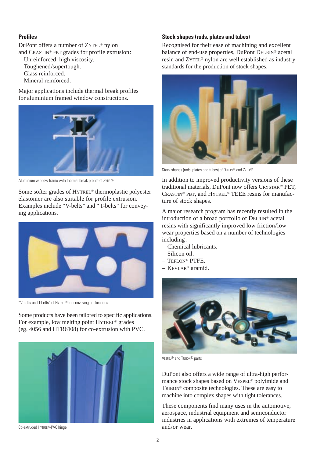### **Profiles**

DuPont offers a number of ZYTEL® nylon and CRASTIN® PBT grades for profile extrusion:

- Unreinforced, high viscosity.
- Toughened/supertough.
- Glass reinforced.
- Mineral reinforced.

Major applications include thermal break profiles for aluminium framed window constructions.



Aluminium window frame with thermal break profile of ZYTEL®

Some softer grades of HYTREL® thermoplastic polyester elastomer are also suitable for profile extrusion. Examples include "V-belts" and "T-belts" for conveying applications.



"V-belts and T-belts" of HYTREL® for conveying applications

Some products have been tailored to specific applications. For example, low melting point HYTREL® grades (eg. 4056 and HTR6108) for co-extrusion with PVC.



Co-extruded HYTREL®-PVC hinge

### **Stock shapes (rods, plates and tubes)**

Recognised for their ease of machining and excellent balance of end-use properties, DuPont DELRIN® acetal resin and ZYTEL® nylon are well established as industry standards for the production of stock shapes.



Stock shapes (rods, plates and tubes) of DELRIN® and ZYTEL®

In addition to improved productivity versions of these traditional materials, DuPont now offers CRYSTAR™ PET, CRASTIN® PBT, and HYTREL® TEEE resins for manufacture of stock shapes.

A major research program has recently resulted in the introduction of a broad portfolio of DELRIN® acetal resins with significantly improved low friction/low wear properties based on a number of technologies including:

- Chemical lubricants.
- Silicon oil.
- TEFLON® PTFE.
- KEVLAR® aramid.



VESPEL® and TRIBON® parts

DuPont also offers a wide range of ultra-high performance stock shapes based on VESPEL® polyimide and TRIBON® composite technologies. These are easy to machine into complex shapes with tight tolerances.

These components find many uses in the automotive, aerospace, industrial equipment and semiconductor industries in applications with extremes of temperature and/or wear.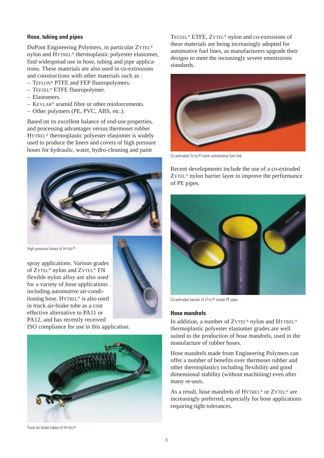### **Hose, tubing and pipes**

DuPont Engineering Polymers, in particular ZYTEL® nylon and HYTREL® thermoplastic polyester elastomer, find widespread use in hose, tubing and pipe applications. These materials are also used in co-extrusions and constructions with other materials such as :

- TEFLON® PTFE and FEP fluoropolymers.
- TEFZEL® ETFE fluoropolymer.
- Elastomers.
- KEVLAR® aramid fibre or other reinforcements.
- Other polymers (PE, PVC, ABS, etc.).

Based on its excellent balance of end-use properties, and processing advantages versus thermoset rubber HYTREL® thermoplastic polyester elastomer is widely used to produce the liners and covers of high pressure hoses for hydraulic, water, hydro-cleaning and paint



High pressure hoses of HYTREL®

spray applications. Various grades of ZYTEL® nylon and ZYTEL® FN flexible nylon alloy are also used for a variety of hose applications including automotive air-conditioning hose. HYTREL® is also used in truck air-brake tube as a cost effective alternative to PA11 or PA12, and has recently received



ISO compliance for use in this application.



TEFZEL® ETFE, ZYTEL® nylon and co-extrusions of these materials are being increasingly adopted for automotive fuel lines, as manufacturers upgrade their designs to meet the inceasingly severe emmissions standards.



Co-extruded TEFZEL®-nylon automotive fuel line

Recent developments include the use of a co-extruded ZYTEL® nylon barrier layer to improve the performance of PE pipes.



Co-extruded barrier of ZYTEL® inside PE pipe

### **Hose mandrels**

In addition, a number of ZYTEL® nylon and HYTREL® thermoplastic polyester elastomer grades are well suited to the production of hose mandrels, used in the manufacture of rubber hoses.

Hose mandrels made from Engineering Polymers can offer a number of benefits over thermoset rubber and other thermoplastics including flexibility and good dimensional stability (without machining) even after many re-uses.

As a result, hose mandrels of HYTREL<sup>®</sup> or ZYTEL<sup>®</sup> are increasingly preferred, especially for hose applications requiring tight tolerances.

Truck air brake tubes of HYTREL®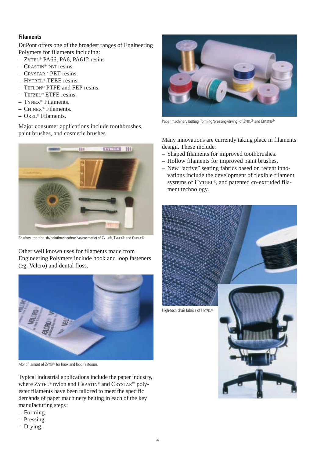## **Filaments**

DuPont offers one of the broadest ranges of Engineering Polymers for filaments including:

- ZYTEL® PA66, PA6, PA612 resins
- CRASTIN® PBT resins.
- CRYSTAR™ PET resins.
- HYTREL® TEEE resins.
- TEFLON® PTFE and FEP resins.
- TEFZEL® ETFE resins.
- TYNEX® Filaments.
- CHINEX® Filaments.
- OREL® Filaments.

Major consumer applications include toothbrushes, paint brushes, and cosmetic brushes.



Brushes (toothbrush/paintbrush/abrasive/cosmetic) of ZYTEL®, TYNEX® and CHINEX®

Other well known uses for filaments made from Engineering Polymers include hook and loop fasteners (eg. Velcro) and dental floss.



Monofilament of ZYTEL® for hook and loop fasteners

Typical industrial applications include the paper industry, where ZYTEL® nylon and CRASTIN® and CRYSTAR™ polyester filaments have been tailored to meet the specific demands of paper machinery belting in each of the key manufacturing steps:

- Forming.
- Pressing.
- Drying.



Paper machinery belting (forming/pressing/drying) of ZYTEL® and CRASTIN®

Many innovations are currently taking place in filaments design. These include:

- Shaped filaments for improved toothbrushes.
- Hollow filaments for improved paint brushes.
- New "active" seating fabrics based on recent innovations include the development of flexible filament systems of HYTREL®, and patented co-extruded filament technology.

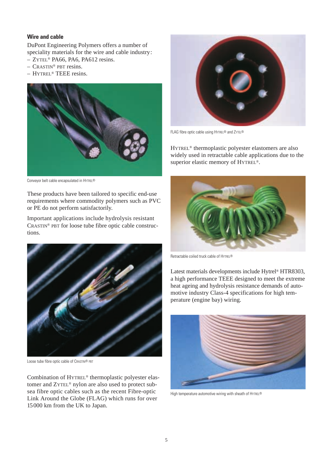### **Wire and cable**

DuPont Engineering Polymers offers a number of speciality materials for the wire and cable industry:

- ZYTEL® PA66, PA6, PA612 resins.
- CRASTIN® PBT resins.
- HYTREL® TEEE resins.



Conveyor belt cable encapsulated in HYTREL®

These products have been tailored to specific end-use requirements where commodity polymers such as PVC or PE do not perform satisfactorily.

Important applications include hydrolysis resistant CRASTIN® PBT for loose tube fibre optic cable constructions.



Loose tube fibre optic cable of CRASTIN® PBT

Combination of HYTREL® thermoplastic polyester elastomer and ZYTEL® nylon are also used to protect subsea fibre optic cables such as the recent Fibre-optic Link Around the Globe (FLAG) which runs for over 15000 km from the UK to Japan.



FLAG fibre optic cable using HYTREL® and ZYTEL®

HYTREL® thermoplastic polyester elastomers are also widely used in retractable cable applications due to the superior elastic memory of HYTREL®.



Retractable coiled truck cable of HYTREL®

Latest materials developments include Hytrel® HTR8303, a high performance TEEE designed to meet the extreme heat ageing and hydrolysis resistance demands of automotive industry Class-4 specifications for high temperature (engine bay) wiring.



High temperature automotive wiring with sheath of HYTREL®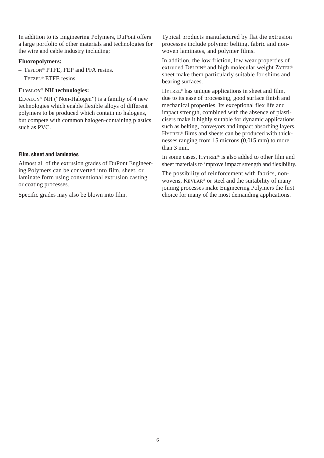In addition to its Engineering Polymers, DuPont offers a large portfolio of other materials and technologies for the wire and cable industry including:

### **Fluoropolymers:**

- TEFLON® PTFE, FEP and PFA resins.
- TEFZEL® ETFE resins.

### **ELVALOY® NH technologies:**

ELVALOY® NH ("Non-Halogen") is a familiy of 4 new technologies which enable flexible alloys of different polymers to be produced which contain no halogens, but compete with common halogen-containing plastics such as PVC.

### **Film, sheet and laminates**

Almost all of the extrusion grades of DuPont Engineering Polymers can be converted into film, sheet, or laminate form using conventional extrusion casting or coating processes.

Specific grades may also be blown into film.

Typical products manufactured by flat die extrusion processes include polymer belting, fabric and nonwoven laminates, and polymer films.

In addition, the low friction, low wear properties of extruded DELRIN® and high molecular weight ZYTEL® sheet make them particularly suitable for shims and bearing surfaces.

HYTREL® has unique applications in sheet and film, due to its ease of processing, good surface finish and mechanical properties. Its exceptional flex life and impact strength, combined with the absence of plasticisers make it highly suitable for dynamic applications such as belting, conveyors and impact absorbing layers. HYTREL® films and sheets can be produced with thicknesses ranging from 15 microns (0,015 mm) to more than 3 mm.

In some cases, HYTREL® is also added to other film and sheet materials to improve impact strength and flexibility.

The possibility of reinforcement with fabrics, nonwovens, KEVLAR® or steel and the suitability of many joining processes make Engineering Polymers the first choice for many of the most demanding applications.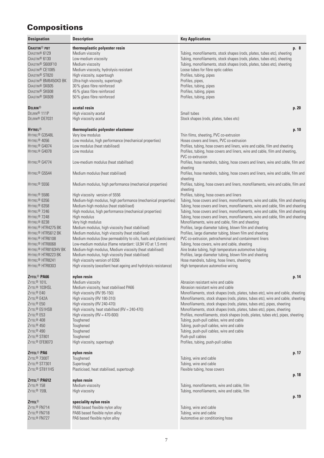# **Compositions**

| <b>Designation</b>                                                                                                                                                                                                                                                                                                                                                                                                                                                     | <b>Description</b>                                                                                                                                                                                                                                                                                                                                                                                                                                                                                                                                                                                                                                                                                                                                               | <b>Key Applications</b>                                                                                                                                                                                                                                                                                                                                                                                                                                                                                                                                                                                                                                                                                                                                                                                                                                                                                                                                                                     |
|------------------------------------------------------------------------------------------------------------------------------------------------------------------------------------------------------------------------------------------------------------------------------------------------------------------------------------------------------------------------------------------------------------------------------------------------------------------------|------------------------------------------------------------------------------------------------------------------------------------------------------------------------------------------------------------------------------------------------------------------------------------------------------------------------------------------------------------------------------------------------------------------------------------------------------------------------------------------------------------------------------------------------------------------------------------------------------------------------------------------------------------------------------------------------------------------------------------------------------------------|---------------------------------------------------------------------------------------------------------------------------------------------------------------------------------------------------------------------------------------------------------------------------------------------------------------------------------------------------------------------------------------------------------------------------------------------------------------------------------------------------------------------------------------------------------------------------------------------------------------------------------------------------------------------------------------------------------------------------------------------------------------------------------------------------------------------------------------------------------------------------------------------------------------------------------------------------------------------------------------------|
| <b>CRASTIN® PBT</b><br>CRASTIN <sup>®</sup> 6129<br>CRASTIN <sup>®</sup> 6130<br>CRASTIN <sup>®</sup> S600F10<br>CRASTIN <sup>®</sup> CE1085<br>CRASTIN <sup>®</sup> ST820<br>CRASTIN® BM6450XD BK<br>CRASTIN® SK605<br>CRASTIN® SK608<br>CRASTIN <sup>®</sup> SK609                                                                                                                                                                                                   | thermoplastic polyester resin<br>Medium viscosity<br>Low-medium viscosity<br>Medium viscosity<br>Medium viscosity, hydrolysis resistant<br>High viscosity, supertough<br>Ultra-high viscosity, supertough<br>30% glass fibre reinforced<br>45% glass fibre reinforced<br>50% glass fibre reinforced                                                                                                                                                                                                                                                                                                                                                                                                                                                              | p. 8<br>Tubing, monofilaments, stock shapes (rods, plates, tubes etc), sheeting<br>Tubing, monofilaments, stock shapes (rods, plates, tubes etc), sheeting<br>Tubing, monofilaments, stock shapes (rods, plates, tubes etc), sheeting<br>Loose tubes for fibre optic cables<br>Profiles, tubing, pipes<br>Profiles, pipes,<br>Profiles, tubing, pipes<br>Profiles, tubing, pipes<br>Profiles, tubing, pipes                                                                                                                                                                                                                                                                                                                                                                                                                                                                                                                                                                                 |
| <b>DELRIN®</b><br>DELRIN <sup>®</sup> 111P<br>DELRIN <sup>®</sup> DE7031                                                                                                                                                                                                                                                                                                                                                                                               | acetal resin<br>High viscosity acetal<br>High viscosity acetal                                                                                                                                                                                                                                                                                                                                                                                                                                                                                                                                                                                                                                                                                                   | p. 20<br>Small tubes<br>Stock shapes (rods, plates, tubes etc)                                                                                                                                                                                                                                                                                                                                                                                                                                                                                                                                                                                                                                                                                                                                                                                                                                                                                                                              |
| <b>HYTREL<sup>®</sup></b><br>HYTREL® G3548L<br>HYTREL <sup>®</sup> 4056<br>HYTREL <sup>®</sup> G4074<br>HYTREL® G4078<br>HYTREL <sup>®</sup> G4774                                                                                                                                                                                                                                                                                                                     | thermoplastic polyester elastomer<br>Very low modulus<br>Low modulus, high performance (mechanical properties)<br>Low modulus (heat stabilised)<br>Low modulus<br>Low-medium modulus (heat stabillsed)                                                                                                                                                                                                                                                                                                                                                                                                                                                                                                                                                           | p. 10<br>Thin films, sheeting, PVC co-extrusion<br>Hoses covers and liners, PVC co-extrusion<br>Profiles, tubing, hose covers and liners, wire and cable, film and sheeting<br>Profiles, tubing, hose covers and liners, wire and cable, film and sheeting,<br>PVC co-extrusion<br>Profiles, hose mandrels, tubing, hose covers and liners, wire and cable, film and                                                                                                                                                                                                                                                                                                                                                                                                                                                                                                                                                                                                                        |
| HYTREL® G5544                                                                                                                                                                                                                                                                                                                                                                                                                                                          | Medium modulus (heat stabilised)                                                                                                                                                                                                                                                                                                                                                                                                                                                                                                                                                                                                                                                                                                                                 | sheeting<br>Profiles, hose mandrels, tubing, hose covers and liners, wire and cable, film and<br>sheeting                                                                                                                                                                                                                                                                                                                                                                                                                                                                                                                                                                                                                                                                                                                                                                                                                                                                                   |
| HYTREL <sup>®</sup> 5556<br>HYTREL <sup>®</sup> 5586<br>HYTREL <sup>®</sup> 6356<br>HYTREL <sup>®</sup> 6358<br>HYTREL <sup>®</sup> 7246<br>HYTREL <sup>®</sup> 7248<br>HYTREL <sup>®</sup> 8238<br>HYTREL <sup>®</sup> HTR4275 BK<br>HYTREL <sup>®</sup> HTR5612 BK<br>HYTREL <sup>®</sup> HTR6108<br>HYTREL <sup>®</sup> HTR8068<br>HYTREL <sup>®</sup> HTR8163HV BK<br>HYTREL <sup>®</sup> HTR8223 BK<br>HYTREL <sup>®</sup> HTR8241<br>HYTREL <sup>®</sup> HTR8303 | Medium modulus, high performance (mechanical properties)<br>High viscosity version of 5556<br>Medium-high modulus, high performance (mechanical properties)<br>Medium-high modulus (heat stabilised)<br>High modulus, high performance (mechanical properties)<br>High modulus<br>Very high modulus<br>Medium modulus, high viscosity (heat stabilised)<br>Medium modulus, high viscosity (heat stabilised)<br>Medium modulus (low permeability to oils, fuels and plasticisers)<br>Low-medium modulus (flame retardant: UL94 VO at 1,5 mm)<br>Medium-high modulus, Medium viscosity (heat stabilised)<br>Medium modulus, high viscosity (heat stabilised)<br>High viscosity version of 6356<br>High viscosity (excellent heat ageing and hydrolysis resistance) | Profiles, tubing, hose covers and liners, monofilaments, wire and cable, film and<br>sheeting<br>Profiles, tubing, hose covers and liners<br>Tubing, hose covers and liners, monofilaments, wire and cable, film and sheeting<br>Tubing, hose covers and liners, monofilaments, wire and cable, film and sheeting<br>Tubing, hose covers and liners, monofilaments, wire and cable, film and sheeting<br>Tubing, hose covers and liners, monofilaments, wire and cable, film and sheeting<br>Monofilaments, wire and cable, film and sheeting<br>Profiles, large diameter tubing, blown film and sheeting<br>Profiles, large diameter tubing, blown film and sheeting<br>PVC co-extrusion, petrocheminal and containment liners<br>Tubing, hose covers, wire and cable, sheeting<br>Aire brake tubing, high temperature automotive tubing<br>Profiles, large diameter tubing, blown film and sheeting<br>Hose mandrels, tubing, hose liners, sheeting<br>High temperature automotive wiring |
| ZYTEL <sup>®</sup> PA66<br>ZYTEL <sup>®</sup> 101L<br>ZYTEL <sup>®</sup> 103HSL<br>ZYTEL <sup>®</sup> E40<br>ZYTEL <sup>®</sup> E42A<br>ZYTEL <sup>®</sup> E50<br>ZYTEL <sup>®</sup> E51HSB<br>ZYTEL <sup>®</sup> E53<br>ZYTEL <sup>®</sup> 408<br>ZYTEL <sup>®</sup> 450<br>ZYTEL <sup>®</sup> 490<br>ZYTEL <sup>®</sup> ST801<br>ZYTEL <sup>®</sup> EFE8073                                                                                                          | nylon resin<br>Medium viscosity<br>Medium viscosity, heat stabilised PA66<br>High viscosity (RV 95-150)<br>High viscosity (RV 180-310)<br>High viscosity (RV 240-470)<br>High viscosity, heat stabillsed (RV = 240-470)<br>High viscosity ( $RV = 470-600$ )<br>Toughened<br>Toughened<br>Toughened<br>Toughened<br>High viscosity, supertough                                                                                                                                                                                                                                                                                                                                                                                                                   | p. 14<br>Abrasion resistant wire and cable<br>Abrasion resistant wire and cable<br>Monofilaments, stock shapes (rods, plates, tubes etc), wire and cable, sheeting<br>Monofilaments, stock shapes (rods, plates, tubes etc), wire and cable, sheeting<br>Monofilaments, stock shapes (rods, plates, tubes etc), pipes, sheeting<br>Monofilaments, stock shapes (rods, plates, tubes etc), pipes, sheeting<br>Profiles, monofilaments, stock shapes (rods, plates, tubes etc), pipes, sheeting<br>Tubing, push-pull cables, wire and cable<br>Tubing, push-pull cables, wire and cable<br>Tubing, push-pull cables, wire and cable<br>Push-pull cables<br>Profiles, tubing, push-pull cables                                                                                                                                                                                                                                                                                                 |
| <b>ZYTEL<sup>®</sup> PA6</b><br>ZYTEL <sup>®</sup> 7300T<br>ZYTEL <sup>®</sup> ST7301<br>ZYTEL® ST811HS                                                                                                                                                                                                                                                                                                                                                                | nylon resin<br>Toughened<br>Supertough<br>Plasticised, heat stabilised, supertough                                                                                                                                                                                                                                                                                                                                                                                                                                                                                                                                                                                                                                                                               | p. 17<br>Tubing, wire and cable<br>Tubing, wire and cable<br>Flexible tubing, hose covers                                                                                                                                                                                                                                                                                                                                                                                                                                                                                                                                                                                                                                                                                                                                                                                                                                                                                                   |
| ZYTEL <sup>®</sup> PA612<br>ZYTEL <sup>®</sup> 158<br>ZYTEL <sup>®</sup> 159L                                                                                                                                                                                                                                                                                                                                                                                          | nylon resin<br>Medium viscosity<br>High viscosity                                                                                                                                                                                                                                                                                                                                                                                                                                                                                                                                                                                                                                                                                                                | p. 18<br>Tubing, monofilaments, wire and cable, film<br>Tubing, monofilaments, wire and cable, film<br>p. 19                                                                                                                                                                                                                                                                                                                                                                                                                                                                                                                                                                                                                                                                                                                                                                                                                                                                                |
| <b>ZYTEL<sup>®</sup></b><br>ZYTEL <sup>®</sup> FN714<br>ZYTEL <sup>®</sup> FN718<br>ZYTEL <sup>®</sup> FN727                                                                                                                                                                                                                                                                                                                                                           | speciality nylon resin<br>PA66 based flexible nylon alloy<br>PA66 based flexible nylon alloy<br>PA6 based flexible nylon alloy                                                                                                                                                                                                                                                                                                                                                                                                                                                                                                                                                                                                                                   | Tubing, wire and cable<br>Tubing, wire and cable<br>Automotive air conditioning hose                                                                                                                                                                                                                                                                                                                                                                                                                                                                                                                                                                                                                                                                                                                                                                                                                                                                                                        |

 $\overline{a}$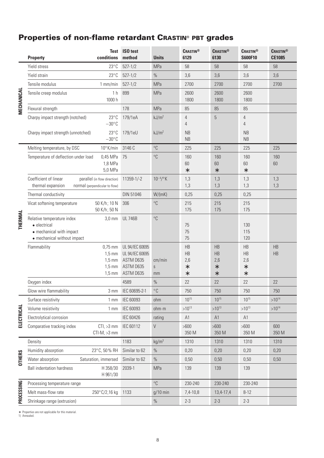# **Properties of non-flame retardant CRASTIN**® **PBT grades**

|                | conditions<br><b>Property</b>                                                                                     | Test ISO test<br>method                                                   | <b>Units</b>                 | <b>CRASTIN®</b><br>6129             | <b>CRASTIN®</b><br>6130        | <b>CRASTIN®</b><br><b>S600F10</b> | <b>CRASTIN®</b><br><b>CE1085</b> |
|----------------|-------------------------------------------------------------------------------------------------------------------|---------------------------------------------------------------------------|------------------------------|-------------------------------------|--------------------------------|-----------------------------------|----------------------------------|
|                | $23^{\circ}$ C<br>Yield stress                                                                                    | $527 - 1/2$                                                               | <b>MPa</b>                   | 58                                  | 58                             | 58                                | 58                               |
|                | Yield strain<br>$23^{\circ}$ C                                                                                    | $527 - 1/2$                                                               | $\%$                         | 3,6                                 | 3,6                            | 3,6                               | 3,6                              |
| MECHANICAL     | Tensile modulus<br>$1$ mm/min                                                                                     | $527 - 1/2$                                                               | MPa                          | 2700                                | 2700                           | 2700                              | 2700                             |
|                | 1 <sub>h</sub><br>Tensile creep modulus<br>1000 h                                                                 | 899                                                                       | MPa                          | 2600<br>1800                        | 2600<br>1800                   | 2600<br>1800                      |                                  |
|                | Flexural strength                                                                                                 | 178                                                                       | <b>MPa</b>                   | 85                                  | 85                             | 85                                |                                  |
|                | $23^{\circ}$ C<br>Charpy impact strength (notched)<br>$-30^{\circ}$ C                                             | 179/1eA                                                                   | kJ/m <sup>2</sup>            | 4<br>4                              | 5                              | $\overline{4}$<br>$\overline{4}$  |                                  |
|                | $23^{\circ}$ C<br>Charpy impact strength (unnotched)<br>$-30^{\circ}$ C                                           | 179/1eU                                                                   | kJ/m <sup>2</sup>            | <b>NB</b><br><b>NB</b>              |                                | <b>NB</b><br><b>NB</b>            |                                  |
|                | Melting temperature, by DSC<br>10°K/min                                                                           | 3146 C                                                                    | $^{\circ}C$                  | 225                                 | 225                            | 225                               | 225                              |
|                | Temperature of deflection under load<br>0,45 MPa<br>1,8 MPa<br>5,0 MPa                                            | 75                                                                        | $^{\circ}C$                  | 160<br>60<br>$\ast$                 | 160<br>60<br>$\ast$            | 160<br>60<br>$\ast$               | 160<br>60                        |
|                | Coefficient of linear<br>parallel (in flow direction)<br>thermal expansion<br>normal (perpendicular to flow)      | 11359-1/-2                                                                | $10^{-4}$ / $\rm ^{\circ}$ K | 1,3<br>1,3                          | 1,3<br>1,3                     | 1,3<br>1,3                        | 1,3<br>1,3                       |
|                | Thermal conductivity                                                                                              | DIN 51046                                                                 | W/(mK)                       | 0,25                                | 0,25                           | 0,25                              |                                  |
|                | Vicat softening temperature<br>50 K/h; 10 N<br>50 K/h; 50 N                                                       | 306                                                                       | $^{\circ}C$                  | 215<br>175                          | 215<br>175                     | 215<br>175                        |                                  |
| <b>THERMAL</b> | Relative temperature index<br>$3,0$ mm<br>• electrical<br>• mechanical with impact<br>• mechanical without impact | <b>UL 746B</b>                                                            | $^{\circ}C$                  | 75<br>75<br>75                      |                                | 130<br>115<br>120                 |                                  |
|                | Flammability<br>$0,75$ mm<br>$1.5 \text{ mm}$<br>$1.5 \text{ mm}$<br>$1.5 \text{ mm}$<br>$1,5 \text{ mm}$         | UL 94/IEC 60695<br>UL 94/IEC 60695<br>ASTM D635<br>ASTM D635<br>ASTM D635 | cm/min<br>S<br>mm            | HB<br>HB<br>2,6<br>$\ast$<br>$\ast$ | HB<br>HB<br>2,6<br>$\ast$<br>* | HB<br>HB<br>2,6<br>$\ast$<br>*    | HB<br>HB                         |
|                | Oxygen index                                                                                                      | 4589                                                                      | $\%$                         | 22                                  | 22                             | 22                                | 22                               |
|                | Glow wire flammability<br>$3 \text{ mm}$                                                                          | IEC 60695-2-1                                                             | $^{\circ}$ C                 | 750                                 | 750                            | 750                               | 750                              |
|                | Surface resistivity<br>1 <sub>mm</sub>                                                                            | IEC 60093                                                                 | ohm                          | $10^{15}$                           | $10^{15}$                      | $10^{15}$                         | $>10^{14}$                       |
|                | Volume resistivity<br>1 <sub>mm</sub>                                                                             | IEC 60093                                                                 | ohm·m                        | $>10^{13}$                          | $>10^{13}$                     | $>10^{13}$                        | $>10^{14}$                       |
| ELECTRICAL     | Electrolytical corrosion                                                                                          | <b>IEC 60426</b>                                                          | rating                       | A1                                  | A1                             | A1                                |                                  |
|                | Comparative tracking index<br>$CTI, >3$ mm<br>$CTI-M$ , $>3$ mm                                                   | IEC 60112                                                                 | V                            | $>600$<br>350 M                     | >600<br>350 M                  | $>600$<br>350 M                   | 600<br>350 M                     |
|                | Density                                                                                                           | 1183                                                                      | kg/m <sup>3</sup>            | 1310                                | 1310                           | 1310                              | 1310                             |
|                | Humidity absorption<br>23°C, 50% RH                                                                               | Similar to 62                                                             | $\%$                         | 0,20                                | 0,20                           | 0,20                              | 0,20                             |
| <b>OTHERS</b>  | Saturation, immersed<br>Water absorption                                                                          | Similar to 62                                                             | $\%$                         | 0,50                                | 0,50                           | 0,50                              | 0,50                             |
|                | <b>Ball indentation hardness</b><br>H 358/30<br>H 961/30                                                          | 2039-1                                                                    | <b>MPa</b>                   | 139                                 | 139                            | 139                               |                                  |
|                | Processing temperature range                                                                                      |                                                                           | °C                           | 230-240                             | 230-240                        | 230-240                           |                                  |
| PROCESSING     | Melt mass-flow rate<br>250°C/2,16 kg                                                                              | 1133                                                                      | $g/10$ min                   | 7,4-10,8                            | 13,4-17,4                      | $8 - 12$                          |                                  |
|                | Shrinkage range (extrusion)                                                                                       |                                                                           | $\%$                         | $2 - 3$                             | $2 - 3$                        | $2 - 3$                           |                                  |
|                | * Properties are not applicable for this material.<br>1) Annealed.                                                |                                                                           |                              |                                     |                                |                                   |                                  |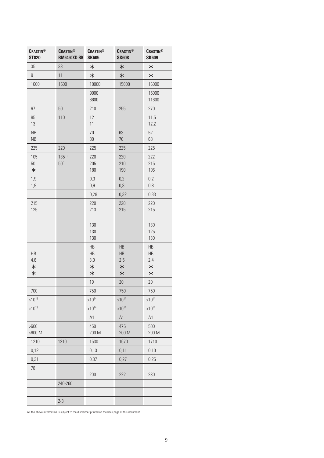| <b>CRASTIN®</b><br><b>ST820</b> | <b>CRASTIN®</b><br><b>BM6450XD BK</b> | <b>CRASTIN®</b><br><b>SK605</b>     | <b>CRASTIN®</b><br><b>SK608</b>     | <b>CRASTIN®</b><br><b>SK609</b>     |
|---------------------------------|---------------------------------------|-------------------------------------|-------------------------------------|-------------------------------------|
| 35                              | 33                                    | $\ast$                              | $\ast$                              | $\ast$                              |
| 9                               | 11                                    | *                                   | $\ast$                              | $\ast$                              |
| 1600                            | 1500                                  | 10000                               | 15000                               | 16000                               |
|                                 |                                       | 9000<br>6600                        |                                     | 15000<br>11600                      |
| 67                              | 50                                    | 210                                 | 255                                 | 270                                 |
| 85<br>13<br><b>NB</b><br>NB     | 110                                   | 12<br>11<br>70<br>80                | 63<br>70                            | 11,5<br>12,2<br>52<br>68            |
| 225                             | 220                                   | 225                                 | 225                                 | 225                                 |
| 105<br>50<br>$\ast$             | $135^{11}$<br>50 <sup>1</sup>         | 220<br>205<br>180                   | 220<br>210<br>190                   | 222<br>215<br>196                   |
| 1,9<br>1,9                      |                                       | 0,3<br>0,9                          | 0,2<br>0,8                          | 0,2<br>$0,8$                        |
|                                 |                                       | 0,28                                | 0,32                                | 0,33                                |
| 215<br>125                      |                                       | 220<br>213                          | 220<br>215                          | 220<br>215                          |
|                                 |                                       | 130<br>130<br>130                   |                                     | 130<br>125<br>130                   |
| HB<br>4,6<br>$\ast$<br>$\ast$   |                                       | HB<br>HB<br>3,0<br>$\ast$<br>$\ast$ | HB<br>HB<br>2,5<br>$\ast$<br>$\ast$ | HB<br>HB<br>2,4<br>$\ast$<br>$\ast$ |
|                                 |                                       | 19                                  | 20                                  | 20                                  |
| 700                             |                                       | 750                                 | 750                                 | 750                                 |
| $>10^{15}$                      |                                       | $>10^{14}$                          | $>10^{14}$                          | $>10^{14}$                          |
| $>10^{13}$                      |                                       | $>10^{14}$                          | $>10^{14}$                          | $>10^{14}$                          |
|                                 |                                       | A1                                  | A1                                  | A1                                  |
| >600<br>$>600$ M                |                                       | 450<br>200 M                        | 475<br>200 M                        | 500<br>200 M                        |
| 1210                            | 1210                                  | 1530                                | 1670                                | 1710                                |
| 0,12                            |                                       | 0,13                                | 0,11                                | 0,10                                |
| 0,31                            |                                       | 0,37                                | 0,27                                | 0,25                                |
| 78                              |                                       | 200                                 | 222                                 | 230                                 |
|                                 | 240-260                               |                                     |                                     |                                     |
|                                 |                                       |                                     |                                     |                                     |
|                                 | $2 - 3$                               |                                     |                                     |                                     |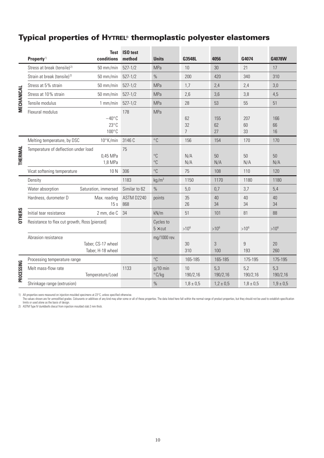# **Typical properties of HYTREL**® **thermoplastic polyester elastomers**

|               | Stress at break (tensile) <sup>2)</sup>       |                                            |                   | <b>Units</b>                 | G3548L                     | 4056            | G4074           | G4078W          |
|---------------|-----------------------------------------------|--------------------------------------------|-------------------|------------------------------|----------------------------|-----------------|-----------------|-----------------|
|               |                                               | 50 mm/min                                  | $527 - 1/2$       | <b>MPa</b>                   | 10                         | 30              | 21              | 17              |
|               | Strain at break (tensile) <sup>2)</sup>       | $50 \text{ mm/min}$                        | $527 - 1/2$       | $\%$                         | 200                        | 420             | 340             | 310             |
|               | Stress at 5% strain                           | $50$ mm/min                                | $527 - 1/2$       | <b>MPa</b>                   | 1.7                        | 2,4             | 2,4             | 3,0             |
| MECHANICAL    | Stress at 10% strain                          | 50 mm/min                                  | $527 - 1/2$       | <b>MPa</b>                   | 2,6                        | 3,6             | 3,8             | 4,5             |
|               | Tensile modulus                               | $1$ mm/min                                 | $527 - 1/2$       | <b>MPa</b>                   | 28                         | 53              | 55              | 51              |
|               | Flexural modulus                              | $-40^{\circ}$ C<br>$23^{\circ}$ C<br>100°C | 178               | <b>MPa</b>                   | 62<br>32<br>$\overline{7}$ | 155<br>62<br>27 | 207<br>60<br>33 | 166<br>66<br>16 |
|               | Melting temperature, by DSC                   | 10°K/min                                   | 3146 C            | $^{\circ}$ C                 | 156                        | 154             | 170             | 170             |
| THERMAL       | Temperature of deflection under load          | 0,45 MPa<br>1,8 MPa                        | 75                | $^{\circ}C$<br>$^{\circ}C$   | N/A<br>N/A                 | 50<br>N/A       | 50<br>N/A       | 50<br>N/A       |
|               | Vicat softening temperature                   | 10N                                        | 306               | $^{\circ}C$                  | 75                         | 108             | 110             | 120             |
|               | Density                                       |                                            | 1183              | kg/m <sup>3</sup>            | 1150                       | 1170            | 1180            | 1180            |
|               | Water absorption                              | Saturation, immersed                       | Similar to 62     | $\frac{0}{0}$                | 5,0                        | 0,7             | 3,7             | 5,4             |
|               | Hardness, durometer D                         | Max. reading<br>15s                        | ASTM D2240<br>868 | points                       | 35<br>26                   | 40<br>34        | 40<br>34        | 40<br>34        |
| <b>OTHERS</b> | Initial tear resistance                       | 2 mm, die C                                | 34                | kN/m                         | 51                         | 101             | 81              | 88              |
|               | Resistance to flex cut growth, Ross [pierced] |                                            |                   | Cycles to<br>$5 \times$ cut  | $>10^{6}$                  | $>10^{6}$       | $>10^{6}$       | $>10^{6}$       |
|               | Abrasion resistance                           | Taber, CS-17 wheel<br>Taber, H-18 wheel    |                   | mg/1000 rev.                 | 30<br>310                  | 3<br>100        | 9<br>193        | 20<br>260       |
|               | Processing temperature range                  |                                            |                   | $^{\circ}C$                  | 165-185                    | 165-185         | 175-195         | 175-195         |
| PROCESSING    | Melt mass-flow rate                           | Temperature/Load                           | 1133              | $g/10$ min<br>$\degree$ C/kg | 10<br>190/2,16             | 5,3<br>190/2,16 | 5,2<br>190/2,16 | 5,3<br>190/2,16 |
|               | Shrinkage range (extrusion)                   |                                            |                   | $\frac{0}{0}$                | $1,8 \pm 0,5$              | $1,2 \pm 0,5$   | $1,8 \pm 0.5$   | $1,9 \pm 0,5$   |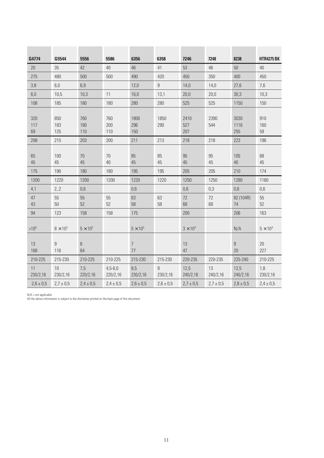| G4774            | G5544             | 5556              | 5586                    | 6356                 | 6358          | 7246               | 7248           | 8238                | <b>HTR4275 BK</b> |
|------------------|-------------------|-------------------|-------------------------|----------------------|---------------|--------------------|----------------|---------------------|-------------------|
| 20               | 35                | 42                | 40                      | 46                   | 41            | 53                 | 46             | 50                  | 40                |
| 275              | 480               | 500               | 500                     | 490                  | 420           | 450                | 350            | 400                 | 450               |
| 3,8              | 6,0               | 6,9               |                         | 12,0                 | 9             | 14,0               | 14,0           | 27,6                | 7,6               |
| $6,0$            | 10,5              | 10,3              | 11                      | 16,0                 | 13,1          | 20,0               | 20,0           | 30,3                | 10,3              |
| 108              | 185               | 180               | 180                     | 280                  | 280           | 525                | 525            | 1150                | 150               |
| 320<br>117<br>69 | 850<br>183<br>125 | 760<br>180<br>110 | 760<br>200<br>110       | 1800<br>296<br>150   | 1850<br>290   | 2410<br>527<br>207 | 2390<br>544    | 3030<br>1116<br>255 | 910<br>160<br>59  |
| 208              | 215               | 203               | 200                     | 211                  | 213           | 218                | 218            | 223                 | 196               |
| 65<br>45         | 100<br>45         | 70<br>45          | $70\,$<br>40            | 85<br>45             | 85<br>45      | 95<br>45           | 95<br>45       | 105<br>40           | 68<br>45          |
| 175              | 190               | 180               | 180                     | 195                  | 195           | 205                | 205            | 210                 | 174               |
| 1200             | 1220              | 1200              | 1200                    | 1220                 | 1220          | 1250               | 1250           | 1280                | 1160              |
| 4,1              | 2, 2              | 0,6               |                         | 0,6                  |               | 0,6                | 0,3            | 0,6                 | 0,6               |
| 47<br>43         | 55<br>50          | 55<br>52          | 55<br>52                | 63<br>58             | 63<br>58      | 72<br>68           | 72<br>68       | 82 (104R)<br>74     | 55<br>52          |
| 94               | 123               | 158               | 158                     | 175                  |               | 200                |                | 206                 | 163               |
| $>10^{6}$        | $8 \times 10^5$   | $5 \times 10^5$   |                         | $5 \times 10^5$      |               | $3 \times 10^4$    |                | N/A                 | $5 \times 10^4$   |
| 13<br>168        | 9<br>116          | 6<br>64           |                         | $\overline{7}$<br>77 |               | 13<br>47           |                | 9<br>20             | 20<br>227         |
| 210-225          | 215-230           | 210-225           | 210-225                 | 215-230              | 215-230       | 220-235            | 220-235        | 225-240             | 210-225           |
| 11<br>230/2,16   | 10<br>230/2,16    | 7,5<br>220/2,16   | $4,5 - 6,0$<br>220/2,16 | 8,5<br>230/2,16      | 9<br>230/2,16 | 12,5<br>240/2,16   | 13<br>240/2,16 | 12,5<br>240/2,16    | 1,8<br>230/2,16   |
| $2,6 \pm 0,5$    | $2,7 \pm 0,5$     | $2,4 \pm 0,5$     | $2,4 \pm 0,5$           | $2,6 \pm 0,5$        | $2,6 \pm 0,5$ | $2,7 \pm 0,5$      | $2,7 \pm 0,5$  | $2,8 \pm 0,5$       | $2,4 \pm 0,5$     |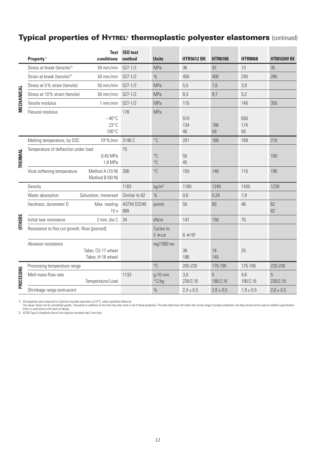# **Typical properties of HYTREL**® **thermoplastic polyester elastomers** (continued)

--

|                | Property <sup>1)</sup>                                                                                                                                                                                                                                                                                                                                                                                                                                            | conditions                                           | Test ISO test<br>method | <b>Units</b>                 | <b>HTR5612 BK</b> | <b>HTR6108</b> | <b>HTR8068</b>   | <b>HTR8163HV BK</b> |
|----------------|-------------------------------------------------------------------------------------------------------------------------------------------------------------------------------------------------------------------------------------------------------------------------------------------------------------------------------------------------------------------------------------------------------------------------------------------------------------------|------------------------------------------------------|-------------------------|------------------------------|-------------------|----------------|------------------|---------------------|
|                | Stress at break (tensile) <sup>2)</sup>                                                                                                                                                                                                                                                                                                                                                                                                                           | $50$ mm/min                                          | $527 - 1/2$             | <b>MPa</b>                   | 36                | 42             | 13               | 35                  |
|                | Strain at break (tensile) <sup>2)</sup>                                                                                                                                                                                                                                                                                                                                                                                                                           | $50 \text{ mm/min}$                                  | $527 - 1/2$             | $\frac{0}{0}$                | 450               | 400            | 240              | 280                 |
|                | Stress at 5% strain (tensile)                                                                                                                                                                                                                                                                                                                                                                                                                                     | $50 \text{ mm/min}$                                  | $527 - 1/2$             | <b>MPa</b>                   | 5,5               | 7,6            | 3,9              |                     |
|                | Stress at 10% strain (tensile)                                                                                                                                                                                                                                                                                                                                                                                                                                    | $50 \text{ mm/min}$                                  | $527 - 1/2$             | <b>MPa</b>                   | 8,3               | 9,7            | 5,2              |                     |
| MECHANICAL     | Tensile modulus                                                                                                                                                                                                                                                                                                                                                                                                                                                   | $1$ mm/min                                           | $527 - 1/2$             | <b>MPa</b>                   | 115               |                | 140              | 350                 |
|                | Flexural modulus                                                                                                                                                                                                                                                                                                                                                                                                                                                  | $-40^{\circ}$ C<br>$23^{\circ}$ C<br>$100^{\circ}$ C | 178                     | <b>MPa</b>                   | 510<br>134<br>46  | 186<br>59      | 650<br>174<br>50 |                     |
|                | Melting temperature, by DSC                                                                                                                                                                                                                                                                                                                                                                                                                                       | $10^{\circ}$ K/min                                   | 3146 C                  | $^{\circ}$ C                 | 201               | 168            | 169              | 210                 |
| <b>THERMAL</b> | Temperature of deflection under load                                                                                                                                                                                                                                                                                                                                                                                                                              | 0,45 MPa<br>1,8 MPa                                  | 75                      | $^{\circ}C$<br>$^{\circ}C$   | 55<br>45          |                |                  | 100                 |
|                | Vicat softening temperature                                                                                                                                                                                                                                                                                                                                                                                                                                       | Method A (10 N)<br>Method B (50 N)                   | 306                     | $^{\circ}C$                  | 155               | 148            | 110              | 195                 |
|                | Density                                                                                                                                                                                                                                                                                                                                                                                                                                                           |                                                      | 1183                    | kg/m <sup>3</sup>            | 1160              | 1240           | 1430             | 1230                |
|                | Water absorption                                                                                                                                                                                                                                                                                                                                                                                                                                                  | Saturation, immersed                                 | Similar to 62           | $\%$                         | 0,6               | 0,24           | 1,9              |                     |
|                | Hardness, durometer D                                                                                                                                                                                                                                                                                                                                                                                                                                             | Max. reading<br>15s                                  | ASTM D2240<br>868       | points                       | 50                | 60             | 46               | 62<br>62            |
| <b>OTHERS</b>  | Initial tear resistance                                                                                                                                                                                                                                                                                                                                                                                                                                           | 2 mm, die C                                          | 34                      | kN/m                         | 147               | 150            | 75               |                     |
|                | Resistance to flex cut growth, Ross [pierced]                                                                                                                                                                                                                                                                                                                                                                                                                     |                                                      |                         | Cycles to<br>$5 \times$ cut  | $6 \times 10^5$   |                |                  |                     |
|                | Abrasion resistance                                                                                                                                                                                                                                                                                                                                                                                                                                               | Taber, CS-17 wheel<br>Taber, H-18 wheel              |                         | mg/1000 rev.                 | 38<br>186         | 18<br>145      | 25               |                     |
|                | Processing temperature range                                                                                                                                                                                                                                                                                                                                                                                                                                      |                                                      |                         | $^{\circ}$ C                 | 205-220           | 175-195        | 175-195          | 220-230             |
| PROCESSING     | Melt mass-flow rate                                                                                                                                                                                                                                                                                                                                                                                                                                               | Temperature/Load                                     | 1133                    | $g/10$ min<br>$\degree$ C/kg | 3,0<br>230/2,16   | 5<br>190/2,16  | 4,6<br>190/2,16  | 5<br>230/2,16       |
|                | Shrinkage range (extrusion)                                                                                                                                                                                                                                                                                                                                                                                                                                       |                                                      |                         | $\frac{0}{0}$                | $2,4 \pm 0,5$     | $2,6 \pm 0,5$  | $1,9 \pm 0,5$    | $2,6 \pm 0,5$       |
|                | 1) All properties were measured on injection-moulded specimens at 23°C, unless specified otherwise.<br>The values shown are for unmodified grades. Colourants or additives of any kind may alter some or all of these properties. The data listed here fall within the normal range of product properties, but they should not be use<br>limits or used alone as the basis of design.<br>2) ASTM Type IV dumbbells diecut from injection moulded slab 2 mm thick. |                                                      |                         |                              |                   |                |                  |                     |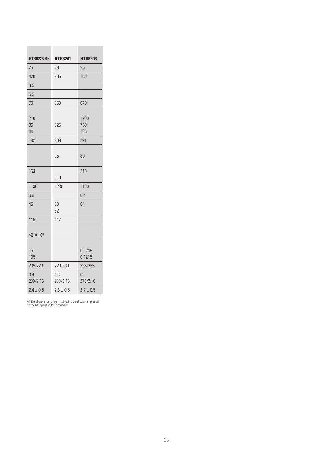| <b>HTR8223 BK</b> | <b>HTR8241</b>  | <b>HTR8303</b>     |
|-------------------|-----------------|--------------------|
| 25                | 29              | 25                 |
| 420               | 305             | 160                |
| 3,5               |                 |                    |
| 5,5               |                 |                    |
| 70                | 350             | 670                |
| 210<br>86<br>44   | 325             | 1200<br>750<br>125 |
| 192               | 209             | 221                |
|                   | 95              | 89                 |
| 153               | 110             | 210                |
| 1130              | 1230            | 1160               |
| 0,6               |                 | 0,4                |
| 45                | 63<br>62        | 64                 |
| 115               | 117             |                    |
| $>2\times 10^{6}$ |                 |                    |
| 15<br>105         |                 | 0,0249<br>0,1215   |
| 205-220           | 220-230         | 235-255            |
| 0,4<br>230/2,16   | 4,3<br>230/2,16 | 0,5<br>270/2,16    |
| $2,4 \pm 0,5$     | $2,6 \pm 0,5$   | $2.7 \pm 0.5$      |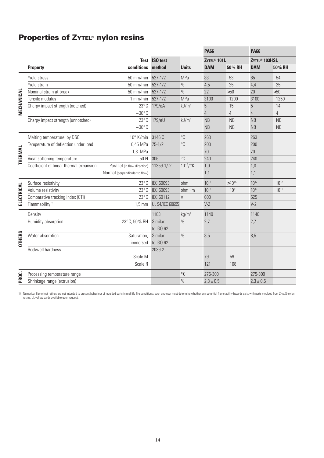# **Properties of ZYTEL**® **nylon resins**

|            |                                         |                                |                  |                   | <b>PA66</b>             |                | <b>PA66</b>               |                |
|------------|-----------------------------------------|--------------------------------|------------------|-------------------|-------------------------|----------------|---------------------------|----------------|
|            |                                         |                                | Test ISO test    |                   | ZYTEL <sup>®</sup> 101L |                | ZYTEL <sup>®</sup> 103HSL |                |
|            | <b>Property</b>                         | conditions                     | method           | <b>Units</b>      | <b>DAM</b>              | 50% RH         | <b>DAM</b>                | 50% RH         |
|            | Yield stress                            | $50$ mm/min                    | $527 - 1/2$      | MPa               | 83                      | 53             | 85                        | 54             |
|            | Yield strain                            | 50 mm/min                      | $527 - 1/2$      | $\%$              | 4,5                     | 25             | 4,4                       | 25             |
|            | Nominal strain at break                 | 50 mm/min                      | $527 - 1/2$      | $\%$              | 22                      | >50            | 20                        | >50            |
| MECHANICAL | Tensile modulus                         | $1$ mm/min                     | $527 - 1/2$      | <b>MPa</b>        | 3100                    | 1200           | 3100                      | 1250           |
|            | Charpy impact strength (notched)        | $23^{\circ}$ C                 | 179/eA           | kJ/m <sup>2</sup> | 5                       | 15             | 5                         | 14             |
|            |                                         | $-30^{\circ}$ C                |                  |                   | $\overline{4}$          | $\overline{4}$ | $\overline{4}$            | $\overline{4}$ |
|            | Charpy impact strength (unnotched)      | $23^{\circ}$ C                 | 179/eU           | kJ/m <sup>2</sup> | NB                      | NB             | <b>NB</b>                 | NB             |
|            |                                         | $-30^{\circ}$ C                |                  |                   | <b>NB</b>               | NB             | <b>NB</b>                 | <b>NB</b>      |
|            | Melting temperature, by DSC             | $10^{\circ}$ K/min             | 3146 C           | $^{\circ}C$       | 263                     |                | 263                       |                |
|            | Temperature of deflection under load    | 0,45 MPa                       | $75 - 1/2$       | $^{\circ}C$       | 200                     |                | 200                       |                |
|            |                                         | 1,8 MPa                        |                  |                   | 70                      |                | 70                        |                |
| THERMAL    | Vicat softening temperature             | 50 N                           | 306              | $^{\circ}C$       | 240                     |                | 240                       |                |
|            | Coefficient of linear thermal expansion | Parallel (in flow direction)   | 11359-1/-2       | $10^{-4}$ /°K     | 1,0                     |                | 1,0                       |                |
|            |                                         | Normal (perpendicular to flow) |                  |                   | 1,1                     |                | 1,1                       |                |
|            | Surface resistivity                     | $23^{\circ}$ C                 | <b>IEC 60093</b> | ohm               | $10^{12}$               | $>10^{15}$     | $10^{12}$                 | $10^{12}$      |
|            | Volume resistivity                      | $23^{\circ}$ C                 | <b>IEC 60093</b> | $ohm \cdot m$     | $10^{12}$               | $10^{11}$      | $10^{13}$                 | $10^{11}$      |
| ELECTRICAL | Comparative tracking index (CTI)        | $23^{\circ}$ C                 | <b>IEC 60112</b> | $\vee$            | 600                     |                | 525                       |                |
|            | Flammability <sup>1)</sup>              | $1,5$ mm                       | UL 94/IEC 60695  |                   | $V-2$                   |                | $V-2$                     |                |
|            | Density                                 |                                | 1183             | kg/m <sup>3</sup> | 1140                    |                | 1140                      |                |
|            | Humidity absorption                     | 23°C, 50% RH                   | Similar          | $\frac{0}{0}$     | 2,7                     |                | 2,7                       |                |
|            |                                         |                                | to ISO 62        |                   |                         |                |                           |                |
| OTHERS     | Water absorption                        | Saturation,                    | Similar          | $\%$              | 8,5                     |                | 8,5                       |                |
|            |                                         | immersed                       | to ISO 62        |                   |                         |                |                           |                |
|            | Rockwell hardness                       |                                | 2039-2           |                   |                         |                |                           |                |
|            |                                         | Scale M                        |                  |                   | 79                      | 59             |                           |                |
|            |                                         | Scale R                        |                  |                   | 121                     | 108            |                           |                |
| PROC.      | Processing temperature range            |                                |                  | $^{\circ}$ C      | 275-300                 |                | 275-300                   |                |
|            | Shrinkage range (extrusion)             |                                |                  | $\%$              | $2,3 \pm 0,5$           |                | $2,3 \pm 0,5$             |                |

1) Numerical flame test ratings are not intended to present behaviour of moulded parts in real life fire conditions; each end-user must determine whether any potential flammability hazards exist with parts moulded from ZYT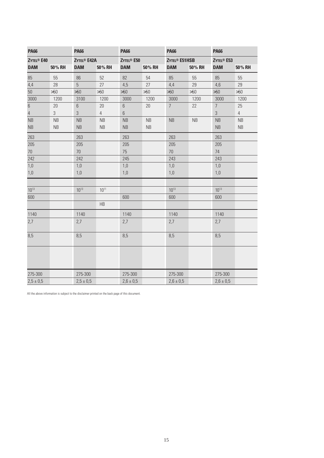| <b>PA66</b>                  |            | <b>PA66</b>                   |                | <b>PA66</b>                  |        |                                 | <b>PA66</b> |                        | <b>PA66</b>    |  |
|------------------------------|------------|-------------------------------|----------------|------------------------------|--------|---------------------------------|-------------|------------------------|----------------|--|
| <b>ZYTEL<sup>®</sup> E40</b> |            | <b>ZYTEL<sup>®</sup> E42A</b> |                | <b>ZYTEL<sup>®</sup> E50</b> |        | <b>ZYTEL<sup>®</sup> E51HSB</b> |             | ZYTEL <sup>®</sup> E53 |                |  |
| <b>DAM</b>                   | 50% RH     | <b>DAM</b>                    | 50% RH         | <b>DAM</b>                   | 50% RH | <b>DAM</b>                      | 50% RH      | <b>DAM</b>             | 50% RH         |  |
| 85                           | 55         | 86                            | 52             | 82                           | 54     | 85                              | 55          | 85                     | 55             |  |
| 4,4                          | 28         | 5                             | 27             | 4,5                          | 27     | 4,4                             | 29          | 4,6                    | 29             |  |
| 50                           | $>50$      | >50                           | >50            | $>50$                        | >50    | >50                             | >50         | $>50$                  | >50            |  |
| 3000                         | 1200       | 3100                          | 1200           | 3000                         | 1200   | 3000                            | 1200        | 3000                   | 1200           |  |
| $\sqrt{6}$                   | 20         | $6\,$                         | 20             | $6\,$                        | 20     | $\overline{7}$                  | 22          | $\overline{7}$         | 25             |  |
| $\overline{4}$               | $\sqrt{3}$ | $\mathfrak{Z}$                | $\overline{4}$ | $6\,$                        |        |                                 |             | $\overline{3}$         | $\overline{4}$ |  |
| NB                           | NB         | <b>NB</b>                     | <b>NB</b>      | <b>NB</b>                    | NB     | NB                              | NB          | <b>NB</b>              | <b>NB</b>      |  |
| NB                           | NB         | <b>NB</b>                     | NB             | NB                           | NB     |                                 |             | NB                     | NB             |  |
| 263                          |            | 263                           |                | 263                          |        | 263                             |             | 263                    |                |  |
| 205                          |            | 205                           |                | 205                          |        | 205                             |             | 205                    |                |  |
| $70\,$                       |            | $70$                          |                | 75                           |        | 70                              |             | 74                     |                |  |
| 242                          |            | 242                           |                | 245                          |        | 243                             |             | 243                    |                |  |
| 1,0                          |            | 1,0                           |                | 1,0                          |        | $1,0$                           |             | 1,0                    |                |  |
| 1,0                          |            | 1,0                           |                | $1,0$                        |        | 1,0                             |             | $1,0$                  |                |  |
| $10^{13}$                    |            | $10^{13}$                     | $10^{11}$      |                              |        | $10^{13}$                       |             | $10^{13}$              |                |  |
| 600                          |            |                               |                | 600                          |        | 600                             |             | 600                    |                |  |
|                              |            |                               | HB             |                              |        |                                 |             |                        |                |  |
| 1140                         |            | 1140                          |                | 1140                         |        | 1140                            |             | 1140                   |                |  |
| 2,7                          |            | 2,7                           |                | 2,7                          |        | 2,7                             |             | 2,7                    |                |  |
| 8,5                          |            | 8,5                           |                | 8,5                          |        | 8,5                             |             | 8,5                    |                |  |
|                              |            |                               |                |                              |        |                                 |             |                        |                |  |
| 275-300                      |            | 275-300                       |                | 275-300                      |        | 275-300                         |             | 275-300                |                |  |
| $2,5 \pm 0,5$                |            | $2,5 \pm 0,5$                 |                | $2,6 \pm 0,5$                |        | $2,6 \pm 0,5$                   |             | $2,6 \pm 0,5$          |                |  |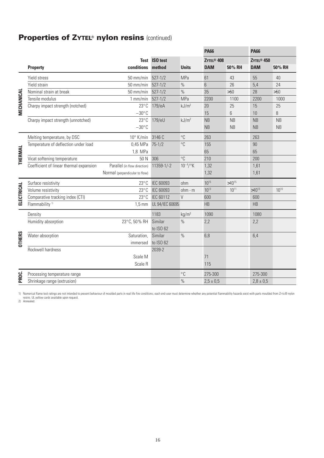# **Properties of ZYTEL**® **nylon resins** (continued)

|               |                                         |                                |                      |                   | <b>PA66</b>            |            | <b>PA66</b>            |           |
|---------------|-----------------------------------------|--------------------------------|----------------------|-------------------|------------------------|------------|------------------------|-----------|
|               |                                         |                                | <b>Test ISO test</b> |                   | ZYTEL <sup>®</sup> 408 |            | ZYTEL <sup>®</sup> 450 |           |
|               | <b>Property</b>                         | conditions                     | method               | <b>Units</b>      | <b>DAM</b>             | 50% RH     | <b>DAM</b>             | 50% RH    |
|               | Yield stress                            | $50$ mm/min                    | $527 - 1/2$          | MPa               | 61                     | 43         | 55                     | 40        |
|               | Yield strain                            | 50 mm/min                      | $527 - 1/2$          | $\%$              | 6                      | 26         | 5,4                    | 24        |
|               | Nominal strain at break                 | 50 mm/min                      | $527 - 1/2$          | $\frac{0}{0}$     | 35                     | $>50$      | 28                     | >50       |
| MECHANICAL    | Tensile modulus                         | $1$ mm/min                     | $527 - 1/2$          | <b>MPa</b>        | 2200                   | 1100       | 2200                   | 1000      |
|               | Charpy impact strength (notched)        | $23^{\circ}$ C                 | 179/eA               | kJ/m <sup>2</sup> | 20                     | 25         | 15                     | 25        |
|               |                                         | $-30^{\circ}$ C                |                      |                   | 15                     | 6          | 10                     | 8         |
|               | Charpy impact strength (unnotched)      | $23^{\circ}$ C                 | 179/eU               | kJ/m <sup>2</sup> | <b>NB</b>              | NB         | <b>NB</b>              | <b>NB</b> |
|               |                                         | $-30^{\circ}$ C                |                      |                   | <b>NB</b>              | <b>NB</b>  | <b>NB</b>              | <b>NB</b> |
|               | Melting temperature, by DSC             | $10^{\circ}$ K/min             | 3146 C               | $^{\circ}$ C      | 263                    |            | 263                    |           |
|               | Temperature of deflection under load    | 0,45 MPa                       | $75 - 1/2$           | $^{\circ}C$       | 155                    |            | 90                     |           |
|               |                                         | 1,8 MPa                        |                      |                   | 65                     |            | 65                     |           |
| THERMAL       | Vicat softening temperature             | 50 N                           | 306                  | $^{\circ}C$       | 210                    |            | 200                    |           |
|               | Coefficient of linear thermal expansion | Parallel (in flow direction)   | 11359-1/-2           | $10^{-4}$ /°K     | 1,32                   |            | 1,61                   |           |
|               |                                         | Normal (perpendicular to flow) |                      |                   | 1,32                   |            | 1,61                   |           |
|               | Surface resistivity                     | $23^{\circ}$ C                 | <b>IEC 60093</b>     | ohm               | $10^{15}$              | $>10^{15}$ |                        |           |
| ELECTRICAL    | Volume resistivity                      | $23^{\circ}$ C                 | <b>IEC 60093</b>     | ohm·m             | $10^{13}$              | $10^{11}$  | $>10^{13}$             | $10^{10}$ |
|               | Comparative tracking index (CTI)        | $23^{\circ}$ C                 | <b>IEC 60112</b>     | $\vee$            | 600                    |            | 600                    |           |
|               | Flammability <sup>1)</sup>              | $1,5 \text{ mm}$               | UL 94/IEC 60695      |                   | HB                     |            | HB                     |           |
|               | Density                                 |                                | 1183                 | kg/m <sup>3</sup> | 1090                   |            | 1080                   |           |
|               | Humidity absorption                     | 23°C, 50% RH                   | Similar              | $\frac{0}{0}$     | 2,2                    |            | 2,2                    |           |
|               |                                         |                                | to ISO 62            |                   |                        |            |                        |           |
|               | Water absorption                        | Saturation,                    | Similar              | $\frac{0}{0}$     | 6,8                    |            | 6,4                    |           |
| <b>OTHERS</b> |                                         | immersed                       | to ISO 62            |                   |                        |            |                        |           |
|               | Rockwell hardness                       |                                | 2039-2               |                   |                        |            |                        |           |
|               |                                         | Scale M                        |                      |                   | 71                     |            |                        |           |
|               |                                         | Scale R                        |                      |                   | 115                    |            |                        |           |
| PROC.         | Processing temperature range            |                                |                      | $^{\circ}$ C      | 275-300                |            | 275-300                |           |
|               | Shrinkage range (extrusion)             |                                |                      | $\frac{0}{0}$     | $2,5 \pm 0,5$          |            | $2,8 \pm 0,5$          |           |

1) Numerical flame test ratings are not intended to present behaviour of moulded parts in real life fire conditions; each end-user must determine whether any potential flammability hazards exist with parts moulded from ZYT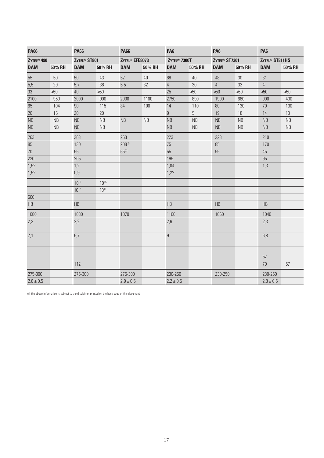| <b>PA66</b>            |           | <b>PA66</b>              |           | <b>PA66</b>                |           | <b>PA6</b>               |           | <b>PA6</b>                |           | <b>PA6</b>                 |           |  |  |
|------------------------|-----------|--------------------------|-----------|----------------------------|-----------|--------------------------|-----------|---------------------------|-----------|----------------------------|-----------|--|--|
| ZYTEL <sup>®</sup> 490 |           | ZYTEL <sup>®</sup> ST801 |           | ZYTEL <sup>®</sup> EFE8073 |           | ZYTEL <sup>®</sup> 7300T |           | ZYTEL <sup>®</sup> ST7301 |           | ZYTEL <sup>®</sup> ST811HS |           |  |  |
| <b>DAM</b>             | 50% RH    | <b>DAM</b>               | 50% RH    | <b>DAM</b>                 | 50% RH    | <b>DAM</b>               | 50% RH    | <b>DAM</b>                | 50% RH    | <b>DAM</b>                 | 50% RH    |  |  |
| 55                     | 50        | 50                       | 43        | 52                         | 40        | 68                       | 40        | 48                        | 30        | 31                         |           |  |  |
| $\overline{5,5}$       | 29        | 5,7                      | 38        | 5,5                        | 32        | $\sqrt{4}$               | 30        | $\sqrt{4}$                | 32        | $\overline{4}$             |           |  |  |
| $\overline{33}$        | >50       | 40                       | >50       |                            |           | 25                       | $>50$     | >50                       | >50       | >50                        | $>50$     |  |  |
| 2100                   | 950       | 2000                     | 900       | 2000                       | 1100      | 2750                     | 890       | 1900                      | 660       | 900                        | 400       |  |  |
| 65                     | 104       | 90                       | 115       | 84                         | 100       | 14                       | 110       | 80                        | 130       | 70                         | 130       |  |  |
| 20                     | 15        | 20                       | 20        |                            |           | $\boldsymbol{9}$         | 5         | 19                        | 18        | 14                         | 13        |  |  |
| NB                     | <b>NB</b> | NB                       | <b>NB</b> | <b>NB</b>                  | <b>NB</b> | <b>NB</b>                | <b>NB</b> | NB                        | <b>NB</b> | NB                         | <b>NB</b> |  |  |
| NB                     | NB        | NB                       | NB        |                            |           | <b>NB</b>                | NB        | <b>NB</b>                 | NB        | <b>NB</b>                  | <b>NB</b> |  |  |
| 263                    |           | 263                      |           | 263                        |           | 223                      |           | 223                       |           | 219                        |           |  |  |
| 85                     |           | 130                      |           | $208^{2}$                  |           | 75                       |           | 85                        |           | 170                        |           |  |  |
| $70\,$                 |           | 65                       |           | $65^{2}$                   |           | 55                       |           | 55                        |           | 45                         |           |  |  |
| 220                    |           | 205                      |           |                            |           | 195                      |           |                           |           | 95                         |           |  |  |
| 1,52                   |           | 1,2                      |           |                            |           | 1,04                     |           |                           |           | 1,3                        |           |  |  |
| 1,52                   |           | 0,9                      |           |                            |           | 1,22                     |           |                           |           |                            |           |  |  |
|                        |           | $10^{15}$                | $10^{15}$ |                            |           |                          |           |                           |           |                            |           |  |  |
|                        |           | $10^{12}$                | $10^{11}$ |                            |           |                          |           |                           |           |                            |           |  |  |
| 600                    |           |                          |           |                            |           |                          |           |                           |           |                            |           |  |  |
| HB                     |           | HB                       |           |                            |           | HB                       |           | HB                        |           | HB                         |           |  |  |
| 1080                   |           | 1080                     |           | 1070                       |           | 1100                     |           | 1060                      |           | 1040                       |           |  |  |
| 2,3                    |           | 2,2                      |           |                            |           | 2,6                      |           |                           |           | 2,3                        |           |  |  |
| 7,1                    |           | 6,7                      |           |                            |           | $\boldsymbol{9}$         |           |                           |           | 6,8                        |           |  |  |
|                        |           | 112                      |           |                            |           |                          |           |                           |           | 57<br>70                   | 57        |  |  |
| 275-300                |           | 275-300                  |           | 275-300                    |           | 230-250                  |           | 230-250                   |           | 230-250                    |           |  |  |
| $2,6 \pm 0,5$          |           |                          |           | $2,9 \pm 0,5$              |           | $2,2 \pm 0,5$            |           |                           |           | $2,8 \pm 0,5$              |           |  |  |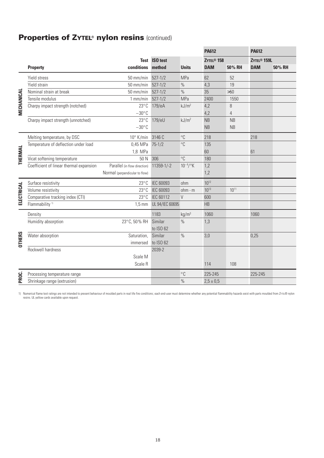# **Properties of ZYTEL**® **nylon resins** (continued)

|                |                                         |                                |                                |                   | <b>PA612</b>                         |                | <b>PA612</b>                          |        |
|----------------|-----------------------------------------|--------------------------------|--------------------------------|-------------------|--------------------------------------|----------------|---------------------------------------|--------|
|                |                                         | conditions                     | <b>Test ISO test</b><br>method | <b>Units</b>      | ZYTEL <sup>®</sup> 158<br><b>DAM</b> | 50% RH         | ZYTEL <sup>®</sup> 159L<br><b>DAM</b> | 50% RH |
|                | <b>Property</b>                         |                                |                                |                   |                                      |                |                                       |        |
|                | Yield stress                            | 50 mm/min                      | $527 - 1/2$                    | MPa               | 62                                   | 52             |                                       |        |
|                | Yield strain                            | $50$ mm/min                    | $527 - 1/2$                    | $\frac{0}{0}$     | 4,3                                  | 19             |                                       |        |
|                | Nominal strain at break                 | $50 \text{ mm/min}$            | $527 - 1/2$                    | $\%$              | 35                                   | >50            |                                       |        |
| MECHANICAL     | Tensile modulus                         | $1$ mm/min                     | $527 - 1/2$                    | MPa               | 2400                                 | 1550           |                                       |        |
|                | Charpy impact strength (notched)        | $23^{\circ}$ C                 | 179/eA                         | kJ/m <sup>2</sup> | 4,2                                  | $\, 8$         |                                       |        |
|                |                                         | $-30^{\circ}$ C                |                                |                   | 4,2                                  | $\overline{4}$ |                                       |        |
|                | Charpy impact strength (unnotched)      | $23^{\circ}$ C                 | 179/eU                         | kJ/m <sup>2</sup> | <b>NB</b>                            | NB             |                                       |        |
|                |                                         | $-30^{\circ}$ C                |                                |                   | <b>NB</b>                            | <b>NB</b>      |                                       |        |
|                | Melting temperature, by DSC             | $10^{\circ}$ K/min             | 3146 C                         | $^{\circ}C$       | 218                                  |                | 218                                   |        |
|                | Temperature of deflection under load    | 0,45 MPa                       | $75 - 1/2$                     | $^{\circ}C$       | 135                                  |                |                                       |        |
|                |                                         | 1,8 MPa                        |                                |                   | 60                                   |                | 61                                    |        |
| <b>THERMAL</b> | Vicat softening temperature             | 50 N                           | 306                            | $^{\circ}C$       | 180                                  |                |                                       |        |
|                | Coefficient of linear thermal expansion | Parallel (in flow direction)   | $11359 - 1/-2$                 | $10^{-4}$ /°K     | 1,2                                  |                |                                       |        |
|                |                                         | Normal (perpendicular to flow) |                                |                   | 1,2                                  |                |                                       |        |
| ELECTRICAL     | Surface resistivity                     | $23^{\circ}$ C                 | <b>IEC 60093</b>               | ohm               | $10^{12}$                            |                |                                       |        |
|                | Volume resistivity                      | $23^{\circ}$ C                 | <b>IEC 60093</b>               | $ohm \cdot m$     | $10^{13}$                            | $10^{11}$      |                                       |        |
|                | Comparative tracking index (CTI)        | $23^{\circ}$ C                 | <b>IEC 60112</b>               | $\vee$            | 600                                  |                |                                       |        |
|                | Flammability <sup>1)</sup>              | $1,5 \text{ mm}$               | UL 94/IEC 60695                |                   | HB                                   |                |                                       |        |
|                | Density                                 |                                | 1183                           | kg/m <sup>3</sup> | 1060                                 |                | 1060                                  |        |
|                | Humidity absorption                     | 23°C, 50% RH                   | Similar                        | $\%$              | 1,3                                  |                |                                       |        |
|                |                                         |                                | to ISO 62                      |                   |                                      |                |                                       |        |
| <b>OTHERS</b>  | Water absorption                        | Saturation,                    | Similar                        | $\frac{0}{0}$     | 3,0                                  |                | 0,25                                  |        |
|                |                                         | immersed                       | to ISO 62                      |                   |                                      |                |                                       |        |
|                | Rockwell hardness                       |                                | 2039-2                         |                   |                                      |                |                                       |        |
|                |                                         | Scale M                        |                                |                   |                                      |                |                                       |        |
|                |                                         | Scale R                        |                                |                   | 114                                  | 108            |                                       |        |
| PROC.          | Processing temperature range            |                                |                                | $^{\circ}C$       | 225-245                              |                | 225-245                               |        |
|                | Shrinkage range (extrusion)             |                                |                                | $\%$              | $2,5 \pm 0,5$                        |                |                                       |        |

1) Numerical flame test ratings are not intended to present behaviour of moulded parts in real life fire conditions; each end-user must determine whether any potential flammability hazards exist with parts moulded from ZYT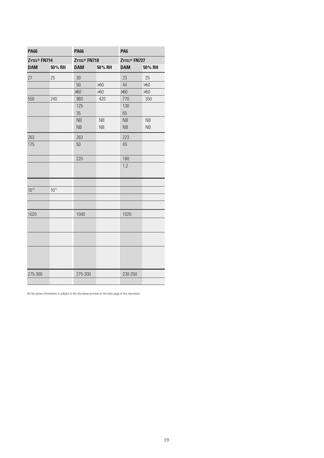| <b>PA66</b>              |           | <b>PA66</b>              |           | <b>PA6</b>               |           |  |
|--------------------------|-----------|--------------------------|-----------|--------------------------|-----------|--|
| ZYTEL <sup>®</sup> FN714 |           | ZYTEL <sup>®</sup> FN718 |           | ZYTEL <sup>®</sup> FN727 |           |  |
| <b>DAM</b>               | 50% RH    | <b>DAM</b>               | 50% RH    | <b>DAM</b>               | 50% RH    |  |
| 27                       | 25        | 30                       |           | 23                       | 25        |  |
|                          |           | 50                       | >50       | 44                       | >50       |  |
|                          |           | >50                      | >50       | >50                      | >50       |  |
| 550                      | 240       | 960                      | 420       | 770                      | 350       |  |
|                          |           | 125<br>35                |           | 130<br>65                |           |  |
|                          |           | <b>NB</b>                | NB        | <b>NB</b>                | <b>NB</b> |  |
|                          |           | <b>NB</b>                | <b>NB</b> | <b>NB</b>                | <b>NB</b> |  |
| 263                      |           | 263                      |           | 223                      |           |  |
| 175                      |           | 50                       |           | 45                       |           |  |
|                          |           | 220                      |           | 180                      |           |  |
|                          |           |                          |           | 1,2                      |           |  |
|                          |           |                          |           |                          |           |  |
| $10^{13}$                | $10^{11}$ |                          |           |                          |           |  |
|                          |           |                          |           |                          |           |  |
| 1020                     |           | 1040                     |           | 1020                     |           |  |
|                          |           |                          |           |                          |           |  |
|                          |           |                          |           |                          |           |  |
|                          |           |                          |           |                          |           |  |
| 275-300                  |           | 275-300                  |           | 230-250                  |           |  |
|                          |           |                          |           |                          |           |  |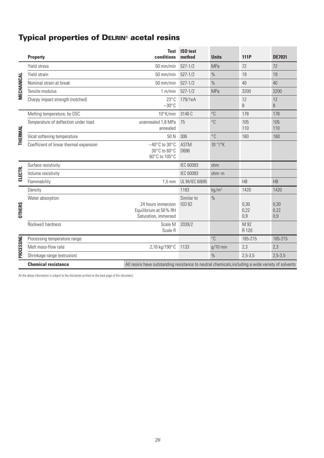# **Typical properties of DELRIN**® **acetal resins**

|               | <b>Property</b>                         | <b>Test</b><br>conditions                                                                         | ISO test<br>method   | <b>Units</b>      | <b>111P</b>         | <b>DE7031</b>       |  |
|---------------|-----------------------------------------|---------------------------------------------------------------------------------------------------|----------------------|-------------------|---------------------|---------------------|--|
| MECHANICAL    | Yield stress                            | 50 mm/min                                                                                         | $527 - 1/2$          | <b>MPa</b>        | 72                  | 72                  |  |
|               | Yield strain                            | $50$ mm/min                                                                                       | $527 - 1/2$          | $\%$              | 19                  | 19                  |  |
|               | Nominal strain at break                 | 50 mm/min                                                                                         | $527 - 1/2$          | $\frac{0}{0}$     | 40                  | 40                  |  |
|               | Tensile modulus                         | 1 m/min                                                                                           | $527 - 1/2$          | <b>MPa</b>        | 3200                | 3200                |  |
|               | Charpy impact strength (notched)        | $23^{\circ}$ C<br>$-30^{\circ}$ C                                                                 | 179/1eA              |                   | 12<br>8             | 12<br>8             |  |
| THERMAL       | Melting temperature, by DSC             | 10°K/min                                                                                          | 3146 C               | $^{\circ}$ C      | 178                 | 178                 |  |
|               | Temperature of deflection under load    | unannealed 1,8 MPa<br>annealed                                                                    | 75                   | $^{\circ}C$       | 105<br>110          | 105<br>110          |  |
|               | Vicat softening temperature             | 50 N                                                                                              | 306                  | $^{\circ}$ C      | 160                 | 160                 |  |
|               | Coefficient of linear thermal expansion | $-40^{\circ}$ C to 30 $^{\circ}$ C<br>$30^{\circ}$ C to $60^{\circ}$ C<br>60°C to 105°C           | <b>ASTM</b><br>D696  | $10^{-4}$ /°K     |                     |                     |  |
| ELECTR.       | Surface resistivity                     |                                                                                                   | <b>IEC 60093</b>     | ohm               |                     |                     |  |
|               | Volume resistivity                      |                                                                                                   | <b>IEC 60093</b>     | ohm·m             |                     |                     |  |
|               | Flammability                            | $1,5$ mm                                                                                          | UL 94/IEC 60695      |                   | <b>HB</b>           | HB                  |  |
| <b>OTHERS</b> | Density                                 |                                                                                                   | 1183                 | kg/m <sup>3</sup> | 1420                | 1420                |  |
|               | Water absorption                        | 24 hours immersion<br>Equilibrium at 50% RH<br>Saturation, immersed                               | Similar to<br>ISO 62 | $\%$              | 0,30<br>0,22<br>0,9 | 0,30<br>0,22<br>0,9 |  |
|               | Rockwell hardness                       | Scale M<br>Scale R                                                                                | 2039/2               |                   | M 92<br>R 120       |                     |  |
| PROCESSING    | Processing temperature range            |                                                                                                   |                      | $^{\circ}$ C      | 185-215             | 185-215             |  |
|               | Melt mass-flow rate                     | 2,16 kg/190°C                                                                                     | 1133                 | $q/10$ min        | 2,3                 | 2,3                 |  |
|               | Shrinkage range (extrusion)             |                                                                                                   |                      | $\frac{0}{0}$     | $2,5-3,5$           | $2,5-3,5$           |  |
|               | <b>Chemical resistance</b>              | All resins have outstanding resistance to neutral chemicals, including a wide variety of solvents |                      |                   |                     |                     |  |